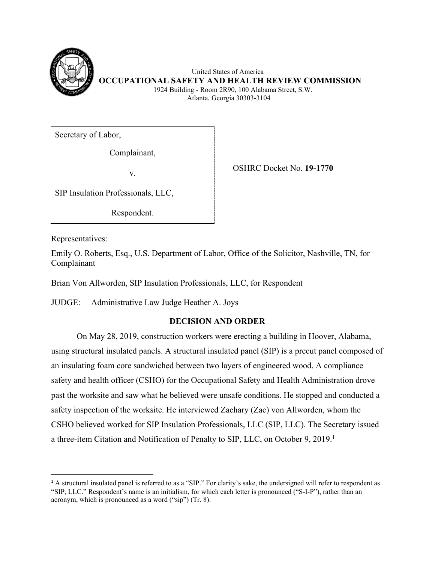

 United States of America **OCCUPATIONAL SAFETY AND HEALTH REVIEW COMMISSION** 1924 Building - Room 2R90, 100 Alabama Street, S.W. Atlanta, Georgia 30303-3104

Secretary of Labor,

Complainant,

v.

OSHRC Docket No. **19-1770**

SIP Insulation Professionals, LLC,

Respondent.

Representatives:

Emily O. Roberts, Esq., U.S. Department of Labor, Office of the Solicitor, Nashville, TN, for Complainant

Brian Von Allworden, SIP Insulation Professionals, LLC, for Respondent

JUDGE: Administrative Law Judge Heather A. Joys

# **DECISION AND ORDER**

 On May 28, 2019, construction workers were erecting a building in Hoover, Alabama, using structural insulated panels. A structural insulated panel (SIP) is a precut panel composed of an insulating foam core sandwiched between two layers of engineered wood. A compliance safety and health officer (CSHO) for the Occupational Safety and Health Administration drove past the worksite and saw what he believed were unsafe conditions. He stopped and conducted a safety inspection of the worksite. He interviewed Zachary (Zac) von Allworden, whom the CSHO believed worked for SIP Insulation Professionals, LLC (SIP, LLC). The Secretary issued a three-item Citation and Notification of Penalty to SIP, LLC, on October 9, 2019.<sup>1</sup>

<sup>&</sup>lt;sup>1</sup> A structural insulated panel is referred to as a "SIP." For clarity's sake, the undersigned will refer to respondent as "SIP, LLC." Respondent's name is an initialism, for which each letter is pronounced ("S-I-P"), rather than an acronym, which is pronounced as a word ("sip") (Tr. 8).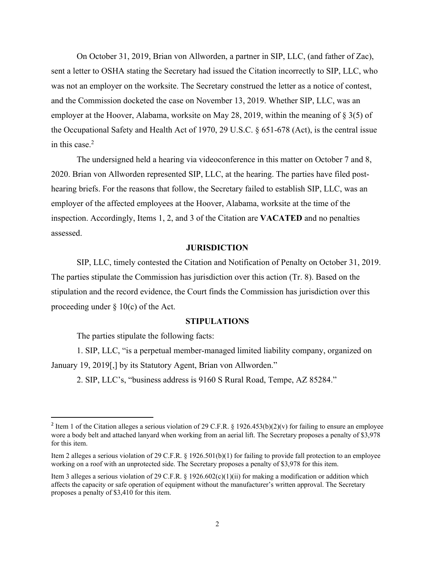On October 31, 2019, Brian von Allworden, a partner in SIP, LLC, (and father of Zac), sent a letter to OSHA stating the Secretary had issued the Citation incorrectly to SIP, LLC, who was not an employer on the worksite. The Secretary construed the letter as a notice of contest, and the Commission docketed the case on November 13, 2019. Whether SIP, LLC, was an employer at the Hoover, Alabama, worksite on May 28, 2019, within the meaning of § 3(5) of the Occupational Safety and Health Act of 1970, 29 U.S.C. § 651-678 (Act), is the central issue in this case. $<sup>2</sup>$ </sup>

 The undersigned held a hearing via videoconference in this matter on October 7 and 8, 2020. Brian von Allworden represented SIP, LLC, at the hearing. The parties have filed posthearing briefs. For the reasons that follow, the Secretary failed to establish SIP, LLC, was an employer of the affected employees at the Hoover, Alabama, worksite at the time of the inspection. Accordingly, Items 1, 2, and 3 of the Citation are **VACATED** and no penalties assessed.

### **JURISDICTION**

 SIP, LLC, timely contested the Citation and Notification of Penalty on October 31, 2019. The parties stipulate the Commission has jurisdiction over this action (Tr. 8). Based on the stipulation and the record evidence, the Court finds the Commission has jurisdiction over this proceeding under  $\S 10(c)$  of the Act.

### **STIPULATIONS**

The parties stipulate the following facts:

1. SIP, LLC, "is a perpetual member-managed limited liability company, organized on January 19, 2019[,] by its Statutory Agent, Brian von Allworden."

2. SIP, LLC's, "business address is 9160 S Rural Road, Tempe, AZ 85284."

<sup>&</sup>lt;sup>2</sup> Item 1 of the Citation alleges a serious violation of 29 C.F.R. § 1926.453(b)(2)(v) for failing to ensure an employee wore a body belt and attached lanyard when working from an aerial lift. The Secretary proposes a penalty of \$3,978 for this item.

Item 2 alleges a serious violation of 29 C.F.R. § 1926.501(b)(1) for failing to provide fall protection to an employee working on a roof with an unprotected side. The Secretary proposes a penalty of \$3,978 for this item.

Item 3 alleges a serious violation of 29 C.F.R. § 1926.602(c)(1)(ii) for making a modification or addition which affects the capacity or safe operation of equipment without the manufacturer's written approval. The Secretary proposes a penalty of \$3,410 for this item.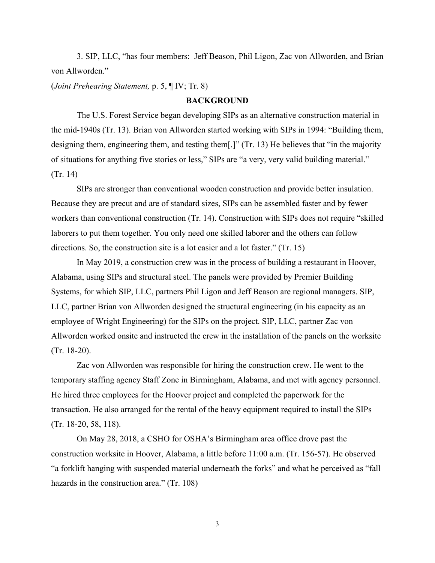3. SIP, LLC, "has four members: Jeff Beason, Phil Ligon, Zac von Allworden, and Brian von Allworden."

(*Joint Prehearing Statement,* p. 5, ¶ IV; Tr. 8)

### **BACKGROUND**

The U.S. Forest Service began developing SIPs as an alternative construction material in the mid-1940s (Tr. 13). Brian von Allworden started working with SIPs in 1994: "Building them, designing them, engineering them, and testing them[.]" (Tr. 13) He believes that "in the majority of situations for anything five stories or less," SIPs are "a very, very valid building material." (Tr. 14)

 SIPs are stronger than conventional wooden construction and provide better insulation. Because they are precut and are of standard sizes, SIPs can be assembled faster and by fewer workers than conventional construction (Tr. 14). Construction with SIPs does not require "skilled laborers to put them together. You only need one skilled laborer and the others can follow directions. So, the construction site is a lot easier and a lot faster." (Tr. 15)

 In May 2019, a construction crew was in the process of building a restaurant in Hoover, Alabama, using SIPs and structural steel. The panels were provided by Premier Building Systems, for which SIP, LLC, partners Phil Ligon and Jeff Beason are regional managers. SIP, LLC, partner Brian von Allworden designed the structural engineering (in his capacity as an employee of Wright Engineering) for the SIPs on the project. SIP, LLC, partner Zac von Allworden worked onsite and instructed the crew in the installation of the panels on the worksite (Tr. 18-20).

 Zac von Allworden was responsible for hiring the construction crew. He went to the temporary staffing agency Staff Zone in Birmingham, Alabama, and met with agency personnel. He hired three employees for the Hoover project and completed the paperwork for the transaction. He also arranged for the rental of the heavy equipment required to install the SIPs (Tr. 18-20, 58, 118).

 On May 28, 2018, a CSHO for OSHA's Birmingham area office drove past the construction worksite in Hoover, Alabama, a little before 11:00 a.m. (Tr. 156-57). He observed "a forklift hanging with suspended material underneath the forks" and what he perceived as "fall hazards in the construction area." (Tr. 108)

3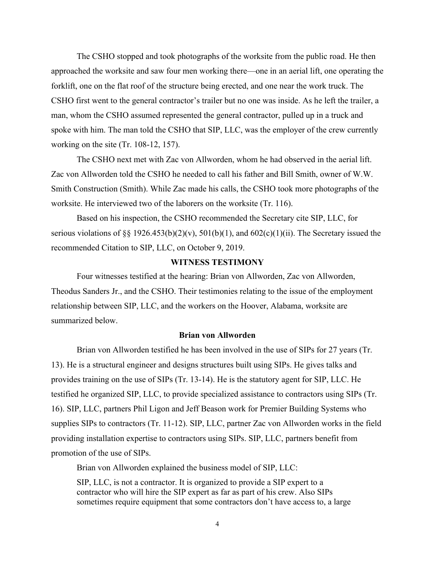The CSHO stopped and took photographs of the worksite from the public road. He then approached the worksite and saw four men working there—one in an aerial lift, one operating the forklift, one on the flat roof of the structure being erected, and one near the work truck. The CSHO first went to the general contractor's trailer but no one was inside. As he left the trailer, a man, whom the CSHO assumed represented the general contractor, pulled up in a truck and spoke with him. The man told the CSHO that SIP, LLC, was the employer of the crew currently working on the site (Tr. 108-12, 157).

 The CSHO next met with Zac von Allworden, whom he had observed in the aerial lift. Zac von Allworden told the CSHO he needed to call his father and Bill Smith, owner of W.W. Smith Construction (Smith). While Zac made his calls, the CSHO took more photographs of the worksite. He interviewed two of the laborers on the worksite (Tr. 116).

 Based on his inspection, the CSHO recommended the Secretary cite SIP, LLC, for serious violations of §§ 1926.453(b)(2)(v), 501(b)(1), and  $602(c)(1)(ii)$ . The Secretary issued the recommended Citation to SIP, LLC, on October 9, 2019.

# **WITNESS TESTIMONY**

 Four witnesses testified at the hearing: Brian von Allworden, Zac von Allworden, Theodus Sanders Jr., and the CSHO. Their testimonies relating to the issue of the employment relationship between SIP, LLC, and the workers on the Hoover, Alabama, worksite are summarized below.

### **Brian von Allworden**

 Brian von Allworden testified he has been involved in the use of SIPs for 27 years (Tr. 13). He is a structural engineer and designs structures built using SIPs. He gives talks and provides training on the use of SIPs (Tr. 13-14). He is the statutory agent for SIP, LLC. He testified he organized SIP, LLC, to provide specialized assistance to contractors using SIPs (Tr. 16). SIP, LLC, partners Phil Ligon and Jeff Beason work for Premier Building Systems who supplies SIPs to contractors (Tr. 11-12). SIP, LLC, partner Zac von Allworden works in the field providing installation expertise to contractors using SIPs. SIP, LLC, partners benefit from promotion of the use of SIPs.

Brian von Allworden explained the business model of SIP, LLC:

SIP, LLC, is not a contractor. It is organized to provide a SIP expert to a contractor who will hire the SIP expert as far as part of his crew. Also SIPs sometimes require equipment that some contractors don't have access to, a large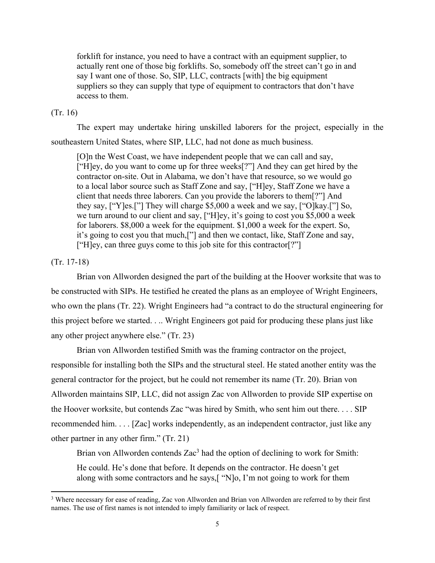forklift for instance, you need to have a contract with an equipment supplier, to actually rent one of those big forklifts. So, somebody off the street can't go in and say I want one of those. So, SIP, LLC, contracts [with] the big equipment suppliers so they can supply that type of equipment to contractors that don't have access to them.

## (Tr. 16)

 The expert may undertake hiring unskilled laborers for the project, especially in the southeastern United States, where SIP, LLC, had not done as much business.

[O]n the West Coast, we have independent people that we can call and say, ["H]ey, do you want to come up for three weeks[?"] And they can get hired by the contractor on-site. Out in Alabama, we don't have that resource, so we would go to a local labor source such as Staff Zone and say, ["H]ey, Staff Zone we have a client that needs three laborers. Can you provide the laborers to them[?"] And they say, ["Y]es.["] They will charge \$5,000 a week and we say, ["O]kay.["] So, we turn around to our client and say, ["H]ey, it's going to cost you \$5,000 a week for laborers. \$8,000 a week for the equipment. \$1,000 a week for the expert. So, it's going to cost you that much,["] and then we contact, like, Staff Zone and say, ["H]ey, can three guys come to this job site for this contractor[?"]

## (Tr. 17-18)

 Brian von Allworden designed the part of the building at the Hoover worksite that was to be constructed with SIPs. He testified he created the plans as an employee of Wright Engineers, who own the plans (Tr. 22). Wright Engineers had "a contract to do the structural engineering for this project before we started. . .. Wright Engineers got paid for producing these plans just like any other project anywhere else." (Tr. 23)

Brian von Allworden testified Smith was the framing contractor on the project, responsible for installing both the SIPs and the structural steel. He stated another entity was the general contractor for the project, but he could not remember its name (Tr. 20). Brian von Allworden maintains SIP, LLC, did not assign Zac von Allworden to provide SIP expertise on the Hoover worksite, but contends Zac "was hired by Smith, who sent him out there. . . . SIP recommended him. . . . [Zac] works independently, as an independent contractor, just like any other partner in any other firm." (Tr. 21)

Brian von Allworden contends Zac<sup>3</sup> had the option of declining to work for Smith:

He could. He's done that before. It depends on the contractor. He doesn't get along with some contractors and he says,[ "N]o, I'm not going to work for them

<sup>&</sup>lt;sup>3</sup> Where necessary for ease of reading, Zac von Allworden and Brian von Allworden are referred to by their first names. The use of first names is not intended to imply familiarity or lack of respect.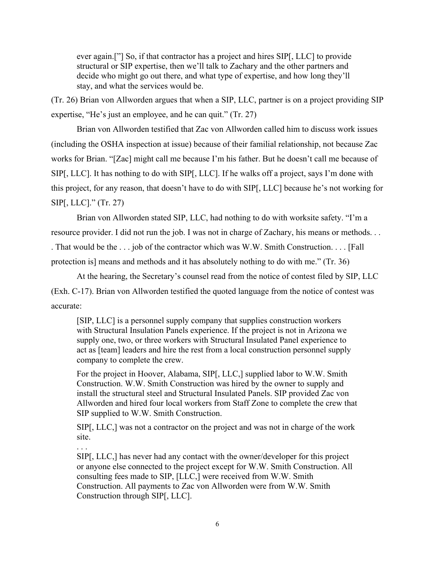ever again.["] So, if that contractor has a project and hires SIP[, LLC] to provide structural or SIP expertise, then we'll talk to Zachary and the other partners and decide who might go out there, and what type of expertise, and how long they'll stay, and what the services would be.

(Tr. 26) Brian von Allworden argues that when a SIP, LLC, partner is on a project providing SIP expertise, "He's just an employee, and he can quit." (Tr. 27)

 Brian von Allworden testified that Zac von Allworden called him to discuss work issues (including the OSHA inspection at issue) because of their familial relationship, not because Zac works for Brian. "[Zac] might call me because I'm his father. But he doesn't call me because of SIP[, LLC]. It has nothing to do with SIP[, LLC]. If he walks off a project, says I'm done with this project, for any reason, that doesn't have to do with SIP[, LLC] because he's not working for SIP[, LLC]." (Tr. 27)

 Brian von Allworden stated SIP, LLC, had nothing to do with worksite safety. "I'm a resource provider. I did not run the job. I was not in charge of Zachary, his means or methods. . . . That would be the . . . job of the contractor which was W.W. Smith Construction. . . . [Fall protection is] means and methods and it has absolutely nothing to do with me." (Tr. 36)

 At the hearing, the Secretary's counsel read from the notice of contest filed by SIP, LLC (Exh. C-17). Brian von Allworden testified the quoted language from the notice of contest was accurate:

[SIP, LLC] is a personnel supply company that supplies construction workers with Structural Insulation Panels experience. If the project is not in Arizona we supply one, two, or three workers with Structural Insulated Panel experience to act as [team] leaders and hire the rest from a local construction personnel supply company to complete the crew.

For the project in Hoover, Alabama, SIP[, LLC,] supplied labor to W.W. Smith Construction. W.W. Smith Construction was hired by the owner to supply and install the structural steel and Structural Insulated Panels. SIP provided Zac von Allworden and hired four local workers from Staff Zone to complete the crew that SIP supplied to W.W. Smith Construction.

SIP[, LLC,] was not a contractor on the project and was not in charge of the work site.

. . .

SIP[, LLC,] has never had any contact with the owner/developer for this project or anyone else connected to the project except for W.W. Smith Construction. All consulting fees made to SIP, [LLC,] were received from W.W. Smith Construction. All payments to Zac von Allworden were from W.W. Smith Construction through SIP[, LLC].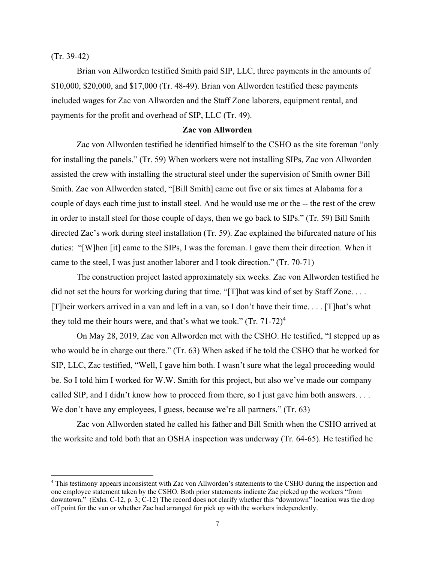(Tr. 39-42)

 Brian von Allworden testified Smith paid SIP, LLC, three payments in the amounts of \$10,000, \$20,000, and \$17,000 (Tr. 48-49). Brian von Allworden testified these payments included wages for Zac von Allworden and the Staff Zone laborers, equipment rental, and payments for the profit and overhead of SIP, LLC (Tr. 49).

### **Zac von Allworden**

 Zac von Allworden testified he identified himself to the CSHO as the site foreman "only for installing the panels." (Tr. 59) When workers were not installing SIPs, Zac von Allworden assisted the crew with installing the structural steel under the supervision of Smith owner Bill Smith. Zac von Allworden stated, "[Bill Smith] came out five or six times at Alabama for a couple of days each time just to install steel. And he would use me or the -- the rest of the crew in order to install steel for those couple of days, then we go back to SIPs." (Tr. 59) Bill Smith directed Zac's work during steel installation (Tr. 59). Zac explained the bifurcated nature of his duties: "[W]hen [it] came to the SIPs, I was the foreman. I gave them their direction. When it came to the steel, I was just another laborer and I took direction." (Tr. 70-71)

 The construction project lasted approximately six weeks. Zac von Allworden testified he did not set the hours for working during that time. "[T] hat was kind of set by Staff Zone.... [T]heir workers arrived in a van and left in a van, so I don't have their time. . . . [T]hat's what they told me their hours were, and that's what we took."  $(Tr. 71-72)^4$ 

 On May 28, 2019, Zac von Allworden met with the CSHO. He testified, "I stepped up as who would be in charge out there." (Tr. 63) When asked if he told the CSHO that he worked for SIP, LLC, Zac testified, "Well, I gave him both. I wasn't sure what the legal proceeding would be. So I told him I worked for W.W. Smith for this project, but also we've made our company called SIP, and I didn't know how to proceed from there, so I just gave him both answers. . . . We don't have any employees, I guess, because we're all partners." (Tr. 63)

 Zac von Allworden stated he called his father and Bill Smith when the CSHO arrived at the worksite and told both that an OSHA inspection was underway (Tr. 64-65). He testified he

<sup>4</sup> This testimony appears inconsistent with Zac von Allworden's statements to the CSHO during the inspection and one employee statement taken by the CSHO. Both prior statements indicate Zac picked up the workers "from downtown." (Exhs. C-12, p. 3; C-12) The record does not clarify whether this "downtown" location was the drop off point for the van or whether Zac had arranged for pick up with the workers independently.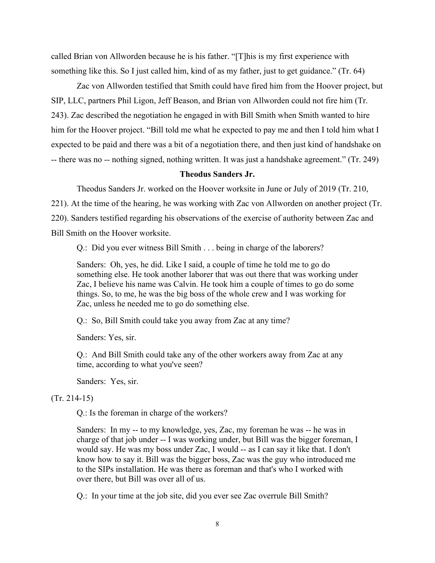called Brian von Allworden because he is his father. "[T]his is my first experience with something like this. So I just called him, kind of as my father, just to get guidance." (Tr. 64)

 Zac von Allworden testified that Smith could have fired him from the Hoover project, but SIP, LLC, partners Phil Ligon, Jeff Beason, and Brian von Allworden could not fire him (Tr. 243). Zac described the negotiation he engaged in with Bill Smith when Smith wanted to hire him for the Hoover project. "Bill told me what he expected to pay me and then I told him what I expected to be paid and there was a bit of a negotiation there, and then just kind of handshake on -- there was no -- nothing signed, nothing written. It was just a handshake agreement." (Tr. 249)

### **Theodus Sanders Jr.**

Theodus Sanders Jr. worked on the Hoover worksite in June or July of 2019 (Tr. 210,

221). At the time of the hearing, he was working with Zac von Allworden on another project (Tr.

220). Sanders testified regarding his observations of the exercise of authority between Zac and Bill Smith on the Hoover worksite.

Q.: Did you ever witness Bill Smith . . . being in charge of the laborers?

Sanders: Oh, yes, he did. Like I said, a couple of time he told me to go do something else. He took another laborer that was out there that was working under Zac, I believe his name was Calvin. He took him a couple of times to go do some things. So, to me, he was the big boss of the whole crew and I was working for Zac, unless he needed me to go do something else.

Q.: So, Bill Smith could take you away from Zac at any time?

Sanders: Yes, sir.

Q.: And Bill Smith could take any of the other workers away from Zac at any time, according to what you've seen?

Sanders: Yes, sir.

# (Tr. 214-15)

Q.: Is the foreman in charge of the workers?

Sanders: In my -- to my knowledge, yes, Zac, my foreman he was -- he was in charge of that job under -- I was working under, but Bill was the bigger foreman, I would say. He was my boss under Zac, I would -- as I can say it like that. I don't know how to say it. Bill was the bigger boss, Zac was the guy who introduced me to the SIPs installation. He was there as foreman and that's who I worked with over there, but Bill was over all of us.

Q.: In your time at the job site, did you ever see Zac overrule Bill Smith?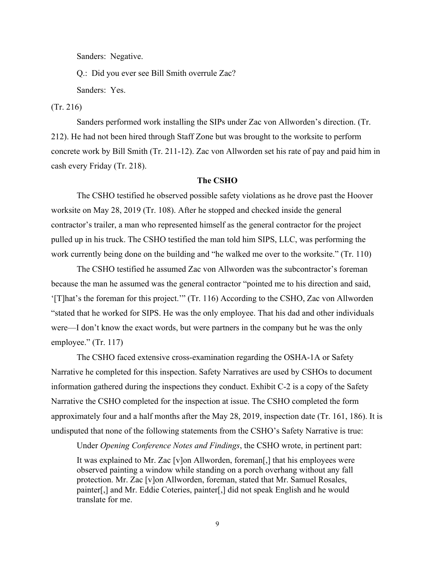Sanders: Negative.

Q.: Did you ever see Bill Smith overrule Zac?

Sanders: Yes.

(Tr. 216)

 Sanders performed work installing the SIPs under Zac von Allworden's direction. (Tr. 212). He had not been hired through Staff Zone but was brought to the worksite to perform concrete work by Bill Smith (Tr. 211-12). Zac von Allworden set his rate of pay and paid him in cash every Friday (Tr. 218).

### **The CSHO**

 The CSHO testified he observed possible safety violations as he drove past the Hoover worksite on May 28, 2019 (Tr. 108). After he stopped and checked inside the general contractor's trailer, a man who represented himself as the general contractor for the project pulled up in his truck. The CSHO testified the man told him SIPS, LLC, was performing the work currently being done on the building and "he walked me over to the worksite." (Tr. 110)

 The CSHO testified he assumed Zac von Allworden was the subcontractor's foreman because the man he assumed was the general contractor "pointed me to his direction and said, '[T]hat's the foreman for this project.'" (Tr. 116) According to the CSHO, Zac von Allworden "stated that he worked for SIPS. He was the only employee. That his dad and other individuals were—I don't know the exact words, but were partners in the company but he was the only employee." (Tr. 117)

 The CSHO faced extensive cross-examination regarding the OSHA-1A or Safety Narrative he completed for this inspection. Safety Narratives are used by CSHOs to document information gathered during the inspections they conduct. Exhibit C-2 is a copy of the Safety Narrative the CSHO completed for the inspection at issue. The CSHO completed the form approximately four and a half months after the May 28, 2019, inspection date (Tr. 161, 186). It is undisputed that none of the following statements from the CSHO's Safety Narrative is true:

 Under *Opening Conference Notes and Findings*, the CSHO wrote, in pertinent part: It was explained to Mr. Zac [v]on Allworden, foreman[,] that his employees were observed painting a window while standing on a porch overhang without any fall protection. Mr. Zac [v]on Allworden, foreman, stated that Mr. Samuel Rosales, painter[,] and Mr. Eddie Coteries, painter[,] did not speak English and he would translate for me.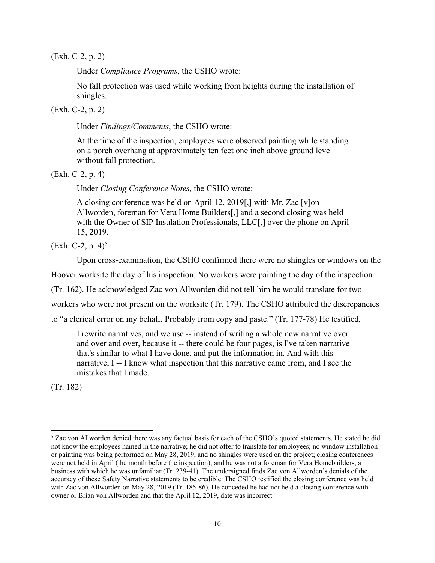(Exh. C-2, p. 2)

Under *Compliance Programs*, the CSHO wrote:

No fall protection was used while working from heights during the installation of shingles.

(Exh. C-2, p. 2)

Under *Findings/Comments*, the CSHO wrote:

At the time of the inspection, employees were observed painting while standing on a porch overhang at approximately ten feet one inch above ground level without fall protection.

(Exh. C-2, p. 4)

Under *Closing Conference Notes,* the CSHO wrote:

A closing conference was held on April 12, 2019[,] with Mr. Zac [v]on Allworden, foreman for Vera Home Builders[,] and a second closing was held with the Owner of SIP Insulation Professionals, LLC[,] over the phone on April 15, 2019.

 $(Exh. C-2, p. 4)^5$ 

Upon cross-examination, the CSHO confirmed there were no shingles or windows on the

Hoover worksite the day of his inspection. No workers were painting the day of the inspection

(Tr. 162). He acknowledged Zac von Allworden did not tell him he would translate for two

workers who were not present on the worksite (Tr. 179). The CSHO attributed the discrepancies

to "a clerical error on my behalf. Probably from copy and paste." (Tr. 177-78) He testified,

I rewrite narratives, and we use -- instead of writing a whole new narrative over and over and over, because it -- there could be four pages, is I've taken narrative that's similar to what I have done, and put the information in. And with this narrative, I -- I know what inspection that this narrative came from, and I see the mistakes that I made.

(Tr. 182)

<sup>&</sup>lt;sup>5</sup> Zac von Allworden denied there was any factual basis for each of the CSHO's quoted statements. He stated he did not know the employees named in the narrative; he did not offer to translate for employees; no window installation or painting was being performed on May 28, 2019, and no shingles were used on the project; closing conferences were not held in April (the month before the inspection); and he was not a foreman for Vera Homebuilders, a business with which he was unfamiliar (Tr. 239-41). The undersigned finds Zac von Allworden's denials of the accuracy of these Safety Narrative statements to be credible. The CSHO testified the closing conference was held with Zac von Allworden on May 28, 2019 (Tr. 185-86). He conceded he had not held a closing conference with owner or Brian von Allworden and that the April 12, 2019, date was incorrect.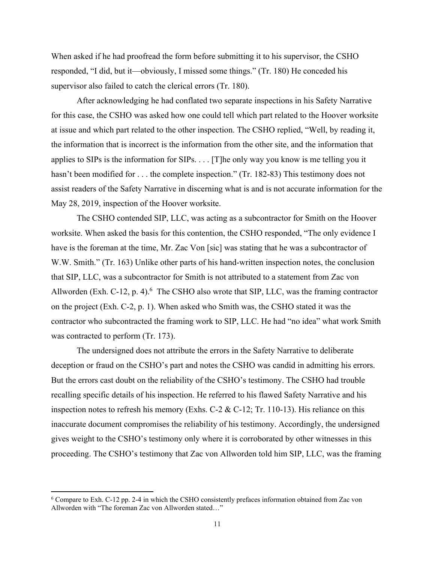When asked if he had proofread the form before submitting it to his supervisor, the CSHO responded, "I did, but it—obviously, I missed some things." (Tr. 180) He conceded his supervisor also failed to catch the clerical errors (Tr. 180).

 After acknowledging he had conflated two separate inspections in his Safety Narrative for this case, the CSHO was asked how one could tell which part related to the Hoover worksite at issue and which part related to the other inspection. The CSHO replied, "Well, by reading it, the information that is incorrect is the information from the other site, and the information that applies to SIPs is the information for SIPs. . . . [T]he only way you know is me telling you it hasn't been modified for . . . the complete inspection." (Tr. 182-83) This testimony does not assist readers of the Safety Narrative in discerning what is and is not accurate information for the May 28, 2019, inspection of the Hoover worksite.

The CSHO contended SIP, LLC, was acting as a subcontractor for Smith on the Hoover worksite. When asked the basis for this contention, the CSHO responded, "The only evidence I have is the foreman at the time, Mr. Zac Von [sic] was stating that he was a subcontractor of W.W. Smith." (Tr. 163) Unlike other parts of his hand-written inspection notes, the conclusion that SIP, LLC, was a subcontractor for Smith is not attributed to a statement from Zac von Allworden (Exh. C-12, p. 4). $6$  The CSHO also wrote that SIP, LLC, was the framing contractor on the project (Exh. C-2, p. 1). When asked who Smith was, the CSHO stated it was the contractor who subcontracted the framing work to SIP, LLC. He had "no idea" what work Smith was contracted to perform (Tr. 173).

 The undersigned does not attribute the errors in the Safety Narrative to deliberate deception or fraud on the CSHO's part and notes the CSHO was candid in admitting his errors. But the errors cast doubt on the reliability of the CSHO's testimony. The CSHO had trouble recalling specific details of his inspection. He referred to his flawed Safety Narrative and his inspection notes to refresh his memory (Exhs. C-2 & C-12; Tr. 110-13). His reliance on this inaccurate document compromises the reliability of his testimony. Accordingly, the undersigned gives weight to the CSHO's testimony only where it is corroborated by other witnesses in this proceeding. The CSHO's testimony that Zac von Allworden told him SIP, LLC, was the framing

<sup>&</sup>lt;sup>6</sup> Compare to Exh. C-12 pp. 2-4 in which the CSHO consistently prefaces information obtained from Zac von Allworden with "The foreman Zac von Allworden stated…"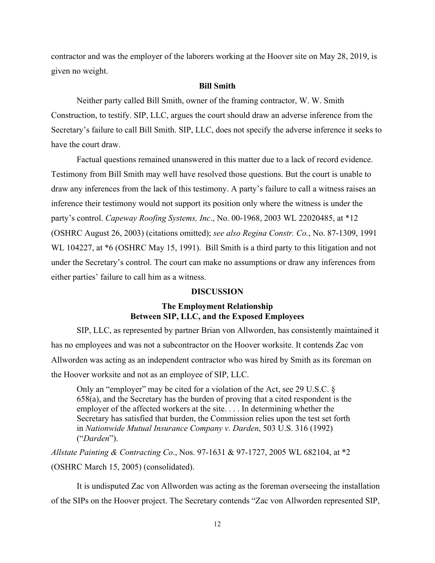contractor and was the employer of the laborers working at the Hoover site on May 28, 2019, is given no weight.

### **Bill Smith**

 Neither party called Bill Smith, owner of the framing contractor, W. W. Smith Construction, to testify. SIP, LLC, argues the court should draw an adverse inference from the Secretary's failure to call Bill Smith. SIP, LLC, does not specify the adverse inference it seeks to have the court draw.

 Factual questions remained unanswered in this matter due to a lack of record evidence. Testimony from Bill Smith may well have resolved those questions. But the court is unable to draw any inferences from the lack of this testimony. A party's failure to call a witness raises an inference their testimony would not support its position only where the witness is under the party's control. *Capeway Roofing Systems, Inc*., No. 00-1968, 2003 WL 22020485, at \*12 (OSHRC August 26, 2003) (citations omitted); *see also Regina Constr. Co.*, No. 87-1309, 1991 WL 104227, at  $*6$  (OSHRC May 15, 1991). Bill Smith is a third party to this litigation and not under the Secretary's control. The court can make no assumptions or draw any inferences from either parties' failure to call him as a witness.

### **DISCUSSION**

# **The Employment Relationship Between SIP, LLC, and the Exposed Employees**

 SIP, LLC, as represented by partner Brian von Allworden, has consistently maintained it has no employees and was not a subcontractor on the Hoover worksite. It contends Zac von Allworden was acting as an independent contractor who was hired by Smith as its foreman on the Hoover worksite and not as an employee of SIP, LLC.

Only an "employer" may be cited for a violation of the Act, see 29 U.S.C. § 658(a), and the Secretary has the burden of proving that a cited respondent is the employer of the affected workers at the site. . . . In determining whether the Secretary has satisfied that burden, the Commission relies upon the test set forth in *Nationwide Mutual Insurance Company v. Darden*, 503 U.S. 316 (1992) ("*Darden*").

*Allstate Painting & Contracting Co*., Nos. 97-1631 & 97-1727, 2005 WL 682104, at \*2 (OSHRC March 15, 2005) (consolidated).

It is undisputed Zac von Allworden was acting as the foreman overseeing the installation of the SIPs on the Hoover project. The Secretary contends "Zac von Allworden represented SIP,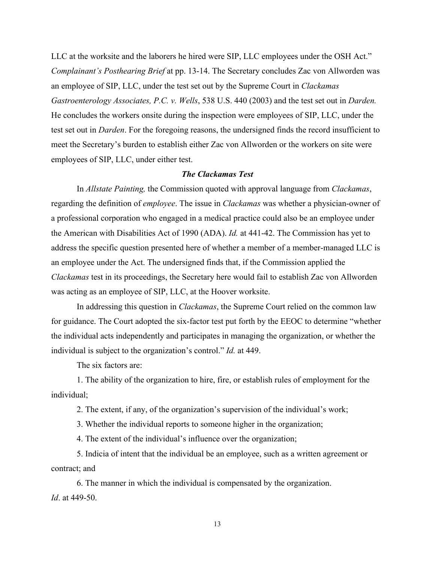LLC at the worksite and the laborers he hired were SIP, LLC employees under the OSH Act." *Complainant's Posthearing Brief* at pp. 13-14. The Secretary concludes Zac von Allworden was an employee of SIP, LLC, under the test set out by the Supreme Court in *Clackamas Gastroenterology Associates, P.C. v. Wells*, 538 U.S. 440 (2003) and the test set out in *Darden.*  He concludes the workers onsite during the inspection were employees of SIP, LLC, under the test set out in *Darden*. For the foregoing reasons, the undersigned finds the record insufficient to meet the Secretary's burden to establish either Zac von Allworden or the workers on site were employees of SIP, LLC, under either test.

## *The Clackamas Test*

 In *Allstate Painting,* the Commission quoted with approval language from *Clackamas*, regarding the definition of *employee*. The issue in *Clackamas* was whether a physician-owner of a professional corporation who engaged in a medical practice could also be an employee under the American with Disabilities Act of 1990 (ADA). *Id.* at 441-42. The Commission has yet to address the specific question presented here of whether a member of a member-managed LLC is an employee under the Act. The undersigned finds that, if the Commission applied the *Clackamas* test in its proceedings, the Secretary here would fail to establish Zac von Allworden was acting as an employee of SIP, LLC, at the Hoover worksite.

 In addressing this question in *Clackamas*, the Supreme Court relied on the common law for guidance. The Court adopted the six-factor test put forth by the EEOC to determine "whether the individual acts independently and participates in managing the organization, or whether the individual is subject to the organization's control." *Id.* at 449.

The six factors are:

 1. The ability of the organization to hire, fire, or establish rules of employment for the individual;

2. The extent, if any, of the organization's supervision of the individual's work;

3. Whether the individual reports to someone higher in the organization;

4. The extent of the individual's influence over the organization;

 5. Indicia of intent that the individual be an employee, such as a written agreement or contract; and

 6. The manner in which the individual is compensated by the organization. *Id*. at 449-50.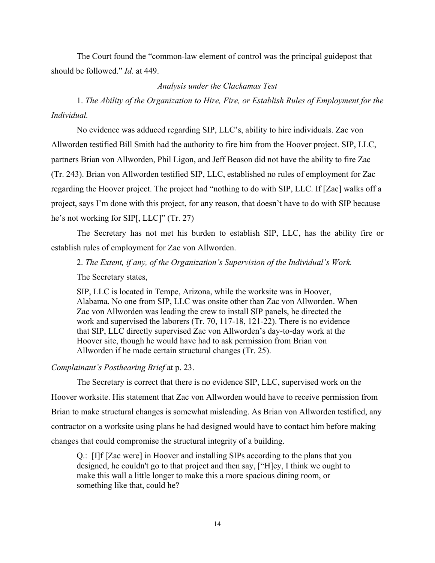The Court found the "common-law element of control was the principal guidepost that should be followed." *Id*. at 449.

# *Analysis under the Clackamas Test*

 1. *The Ability of the Organization to Hire, Fire, or Establish Rules of Employment for the Individual.* 

 No evidence was adduced regarding SIP, LLC's, ability to hire individuals. Zac von Allworden testified Bill Smith had the authority to fire him from the Hoover project. SIP, LLC, partners Brian von Allworden, Phil Ligon, and Jeff Beason did not have the ability to fire Zac (Tr. 243). Brian von Allworden testified SIP, LLC, established no rules of employment for Zac regarding the Hoover project. The project had "nothing to do with SIP, LLC. If [Zac] walks off a project, says I'm done with this project, for any reason, that doesn't have to do with SIP because he's not working for SIP[, LLC]" (Tr. 27)

 The Secretary has not met his burden to establish SIP, LLC, has the ability fire or establish rules of employment for Zac von Allworden.

2. *The Extent, if any, of the Organization's Supervision of the Individual's Work.* 

The Secretary states,

SIP, LLC is located in Tempe, Arizona, while the worksite was in Hoover, Alabama. No one from SIP, LLC was onsite other than Zac von Allworden. When Zac von Allworden was leading the crew to install SIP panels, he directed the work and supervised the laborers (Tr. 70, 117-18, 121-22). There is no evidence that SIP, LLC directly supervised Zac von Allworden's day-to-day work at the Hoover site, though he would have had to ask permission from Brian von Allworden if he made certain structural changes (Tr. 25).

*Complainant's Posthearing Brief* at p. 23.

 The Secretary is correct that there is no evidence SIP, LLC, supervised work on the Hoover worksite. His statement that Zac von Allworden would have to receive permission from Brian to make structural changes is somewhat misleading. As Brian von Allworden testified, any contractor on a worksite using plans he had designed would have to contact him before making changes that could compromise the structural integrity of a building.

Q.: [I]f [Zac were] in Hoover and installing SIPs according to the plans that you designed, he couldn't go to that project and then say, ["H]ey, I think we ought to make this wall a little longer to make this a more spacious dining room, or something like that, could he?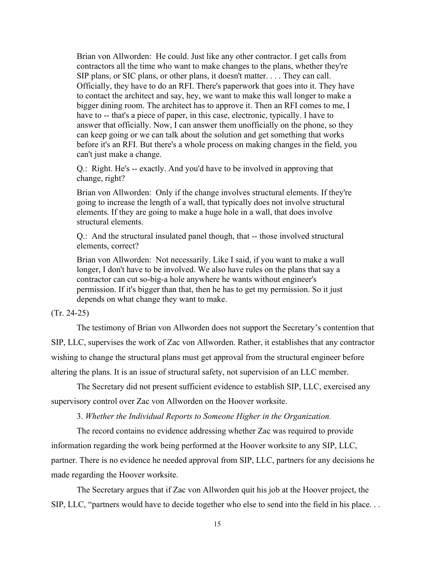Brian von Allworden: He could. Just like any other contractor. I get calls from contractors all the time who want to make changes to the plans, whether they're SIP plans, or SIC plans, or other plans, it doesn't matter. . . . They can call. Officially, they have to do an RFI. There's paperwork that goes into it. They have to contact the architect and say, hey, we want to make this wall longer to make a bigger dining room. The architect has to approve it. Then an RFI comes to me, I have to -- that's a piece of paper, in this case, electronic, typically. I have to answer that officially. Now, I can answer them unofficially on the phone, so they can keep going or we can talk about the solution and get something that works before it's an RFI. But there's a whole process on making changes in the field, you can't just make a change.

Q.: Right. He's -- exactly. And you'd have to be involved in approving that change, right?

Brian von Allworden: Only if the change involves structural elements. If they're going to increase the length of a wall, that typically does not involve structural elements. If they are going to make a huge hole in a wall, that does involve structural elements.

Q.: And the structural insulated panel though, that -- those involved structural elements, correct?

Brian von Allworden: Not necessarily. Like I said, if you want to make a wall longer, I don't have to be involved. We also have rules on the plans that say a contractor can cut so-big-a hole anywhere he wants without engineer's permission. If it's bigger than that, then he has to get my permission. So it just depends on what change they want to make.

## (Tr. 24-25)

 The testimony of Brian von Allworden does not support the Secretary's contention that SIP, LLC, supervises the work of Zac von Allworden. Rather, it establishes that any contractor wishing to change the structural plans must get approval from the structural engineer before altering the plans. It is an issue of structural safety, not supervision of an LLC member.

 The Secretary did not present sufficient evidence to establish SIP, LLC, exercised any supervisory control over Zac von Allworden on the Hoover worksite.

3. *Whether the Individual Reports to Someone Higher in the Organization.* 

 The record contains no evidence addressing whether Zac was required to provide information regarding the work being performed at the Hoover worksite to any SIP, LLC, partner. There is no evidence he needed approval from SIP, LLC, partners for any decisions he made regarding the Hoover worksite.

The Secretary argues that if Zac von Allworden quit his job at the Hoover project, the SIP, LLC, "partners would have to decide together who else to send into the field in his place. . .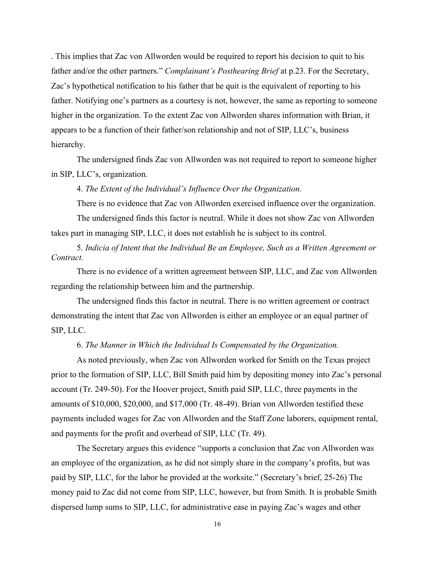. This implies that Zac von Allworden would be required to report his decision to quit to his father and/or the other partners." *Complainant's Posthearing Brief* at p.23. For the Secretary, Zac's hypothetical notification to his father that he quit is the equivalent of reporting to his father. Notifying one's partners as a courtesy is not, however, the same as reporting to someone higher in the organization. To the extent Zac von Allworden shares information with Brian, it appears to be a function of their father/son relationship and not of SIP, LLC's, business hierarchy.

 The undersigned finds Zac von Allworden was not required to report to someone higher in SIP, LLC's, organization.

4. *The Extent of the Individual's Influence Over the Organization.* 

There is no evidence that Zac von Allworden exercised influence over the organization.

 The undersigned finds this factor is neutral. While it does not show Zac von Allworden takes part in managing SIP, LLC, it does not establish he is subject to its control.

 5. *Indicia of Intent that the Individual Be an Employee, Such as a Written Agreement or Contract.* 

 There is no evidence of a written agreement between SIP, LLC, and Zac von Allworden regarding the relationship between him and the partnership.

 The undersigned finds this factor in neutral. There is no written agreement or contract demonstrating the intent that Zac von Allworden is either an employee or an equal partner of SIP, LLC.

6. *The Manner in Which the Individual Is Compensated by the Organization.* 

 As noted previously, when Zac von Allworden worked for Smith on the Texas project prior to the formation of SIP, LLC, Bill Smith paid him by depositing money into Zac's personal account (Tr. 249-50). For the Hoover project, Smith paid SIP, LLC, three payments in the amounts of \$10,000, \$20,000, and \$17,000 (Tr. 48-49). Brian von Allworden testified these payments included wages for Zac von Allworden and the Staff Zone laborers, equipment rental, and payments for the profit and overhead of SIP, LLC (Tr. 49).

 The Secretary argues this evidence "supports a conclusion that Zac von Allworden was an employee of the organization, as he did not simply share in the company's profits, but was paid by SIP, LLC, for the labor he provided at the worksite." (Secretary's brief, 25-26) The money paid to Zac did not come from SIP, LLC, however, but from Smith. It is probable Smith dispersed lump sums to SIP, LLC, for administrative ease in paying Zac's wages and other

16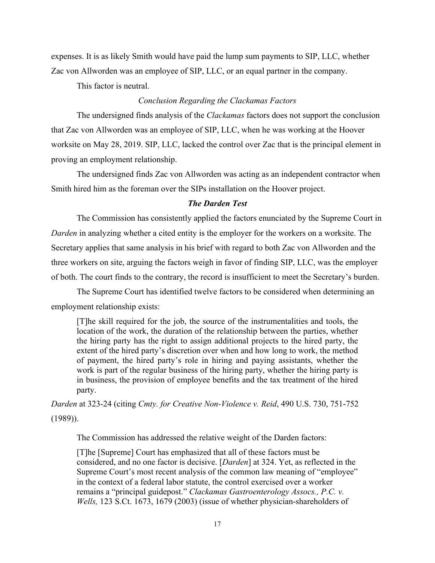expenses. It is as likely Smith would have paid the lump sum payments to SIP, LLC, whether Zac von Allworden was an employee of SIP, LLC, or an equal partner in the company.

This factor is neutral.

# *Conclusion Regarding the Clackamas Factors*

 The undersigned finds analysis of the *Clackamas* factors does not support the conclusion that Zac von Allworden was an employee of SIP, LLC, when he was working at the Hoover worksite on May 28, 2019. SIP, LLC, lacked the control over Zac that is the principal element in proving an employment relationship.

 The undersigned finds Zac von Allworden was acting as an independent contractor when Smith hired him as the foreman over the SIPs installation on the Hoover project.

# *The Darden Test*

 The Commission has consistently applied the factors enunciated by the Supreme Court in *Darden* in analyzing whether a cited entity is the employer for the workers on a worksite. The Secretary applies that same analysis in his brief with regard to both Zac von Allworden and the three workers on site, arguing the factors weigh in favor of finding SIP, LLC, was the employer of both. The court finds to the contrary, the record is insufficient to meet the Secretary's burden.

The Supreme Court has identified twelve factors to be considered when determining an employment relationship exists:

[T]he skill required for the job, the source of the instrumentalities and tools, the location of the work, the duration of the relationship between the parties, whether the hiring party has the right to assign additional projects to the hired party, the extent of the hired party's discretion over when and how long to work, the method of payment, the hired party's role in hiring and paying assistants, whether the work is part of the regular business of the hiring party, whether the hiring party is in business, the provision of employee benefits and the tax treatment of the hired party.

*Darden* at 323-24 (citing *Cmty. for Creative Non-Violence v. Reid*, 490 U.S. 730, 751-752 (1989)).

The Commission has addressed the relative weight of the Darden factors:

[T]he [Supreme] Court has emphasized that all of these factors must be considered, and no one factor is decisive. [*Darden*] at 324. Yet, as reflected in the Supreme Court's most recent analysis of the common law meaning of "employee" in the context of a federal labor statute, the control exercised over a worker remains a "principal guidepost." *Clackamas Gastroenterology Assocs., P.C. v. Wells,* 123 S.Ct. 1673, 1679 (2003) (issue of whether physician-shareholders of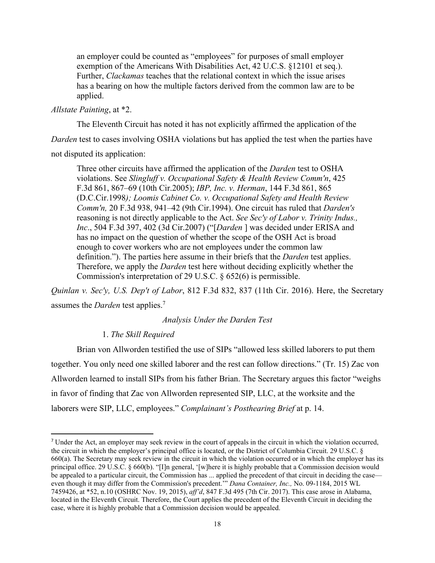an employer could be counted as "employees" for purposes of small employer exemption of the Americans With Disabilities Act, 42 U.C.S. §12101 et seq.). Further, *Clackamas* teaches that the relational context in which the issue arises has a bearing on how the multiple factors derived from the common law are to be applied.

### *Allstate Painting*, at \*2.

 The Eleventh Circuit has noted it has not explicitly affirmed the application of the *Darden* test to cases involving OSHA violations but has applied the test when the parties have not disputed its application:

Three other circuits have affirmed the application of the *Darden* test to OSHA violations. See *Slingluff v. Occupational Safety & Health Review Comm'n*, 425 F.3d 861, 867–69 (10th Cir.2005); *IBP, Inc. v. Herman*, 144 F.3d 861, 865 (D.C.Cir.1998*); Loomis Cabinet Co. v. Occupational Safety and Health Review Comm'n,* 20 F.3d 938, 941–42 (9th Cir.1994). One circuit has ruled that *Darden's*  reasoning is not directly applicable to the Act. *See Sec'y of Labor v. Trinity Indus., Inc*., 504 F.3d 397, 402 (3d Cir.2007) ("[*Darden* ] was decided under ERISA and has no impact on the question of whether the scope of the OSH Act is broad enough to cover workers who are not employees under the common law definition."). The parties here assume in their briefs that the *Darden* test applies. Therefore, we apply the *Darden* test here without deciding explicitly whether the Commission's interpretation of 29 U.S.C. § 652(6) is permissible.

*Quinlan v. Sec'y, U.S. Dep't of Labor*, 812 F.3d 832, 837 (11th Cir. 2016). Here, the Secretary assumes the *Darden* test applies.7

# *Analysis Under the Darden Test*

### 1. *The Skill Required*

 Brian von Allworden testified the use of SIPs "allowed less skilled laborers to put them together. You only need one skilled laborer and the rest can follow directions." (Tr. 15) Zac von Allworden learned to install SIPs from his father Brian. The Secretary argues this factor "weighs in favor of finding that Zac von Allworden represented SIP, LLC, at the worksite and the laborers were SIP, LLC, employees." *Complainant's Posthearing Brief* at p. 14.

<sup>7</sup> Under the Act, an employer may seek review in the court of appeals in the circuit in which the violation occurred, the circuit in which the employer's principal office is located, or the District of Columbia Circuit. 29 U.S.C. § 660(a). The Secretary may seek review in the circuit in which the violation occurred or in which the employer has its principal office. 29 U.S.C. § 660(b). "[I]n general, '[w]here it is highly probable that a Commission decision would be appealed to a particular circuit, the Commission has ... applied the precedent of that circuit in deciding the case even though it may differ from the Commission's precedent.'" *Dana Container, Inc.,* No. 09-1184, 2015 WL 7459426, at \*52, n.10 (OSHRC Nov. 19, 2015), *aff'd*, 847 F.3d 495 (7th Cir. 2017). This case arose in Alabama, located in the Eleventh Circuit. Therefore, the Court applies the precedent of the Eleventh Circuit in deciding the case, where it is highly probable that a Commission decision would be appealed.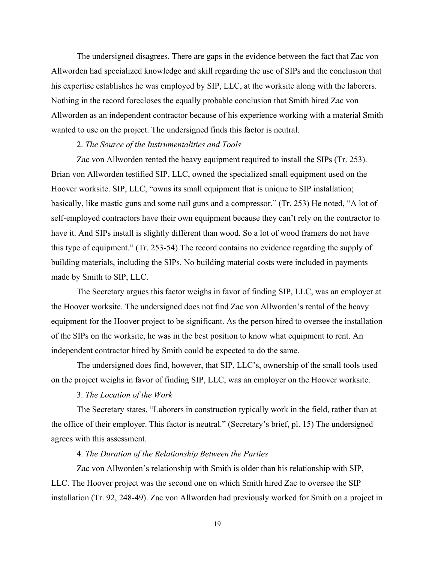The undersigned disagrees. There are gaps in the evidence between the fact that Zac von Allworden had specialized knowledge and skill regarding the use of SIPs and the conclusion that his expertise establishes he was employed by SIP, LLC, at the worksite along with the laborers. Nothing in the record forecloses the equally probable conclusion that Smith hired Zac von Allworden as an independent contractor because of his experience working with a material Smith wanted to use on the project. The undersigned finds this factor is neutral.

# 2. *The Source of the Instrumentalities and Tools*

 Zac von Allworden rented the heavy equipment required to install the SIPs (Tr. 253). Brian von Allworden testified SIP, LLC, owned the specialized small equipment used on the Hoover worksite. SIP, LLC, "owns its small equipment that is unique to SIP installation; basically, like mastic guns and some nail guns and a compressor." (Tr. 253) He noted, "A lot of self-employed contractors have their own equipment because they can't rely on the contractor to have it. And SIPs install is slightly different than wood. So a lot of wood framers do not have this type of equipment." (Tr. 253-54) The record contains no evidence regarding the supply of building materials, including the SIPs. No building material costs were included in payments made by Smith to SIP, LLC.

 The Secretary argues this factor weighs in favor of finding SIP, LLC, was an employer at the Hoover worksite. The undersigned does not find Zac von Allworden's rental of the heavy equipment for the Hoover project to be significant. As the person hired to oversee the installation of the SIPs on the worksite, he was in the best position to know what equipment to rent. An independent contractor hired by Smith could be expected to do the same.

 The undersigned does find, however, that SIP, LLC's, ownership of the small tools used on the project weighs in favor of finding SIP, LLC, was an employer on the Hoover worksite.

# 3. *The Location of the Work*

 The Secretary states, "Laborers in construction typically work in the field, rather than at the office of their employer. This factor is neutral." (Secretary's brief, pl. 15) The undersigned agrees with this assessment.

## 4. *The Duration of the Relationship Between the Parties*

 Zac von Allworden's relationship with Smith is older than his relationship with SIP, LLC. The Hoover project was the second one on which Smith hired Zac to oversee the SIP installation (Tr. 92, 248-49). Zac von Allworden had previously worked for Smith on a project in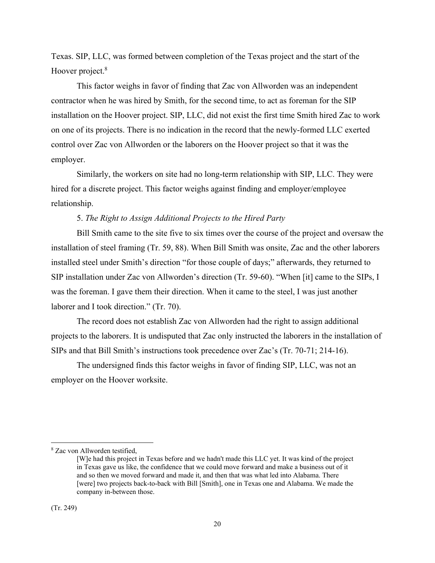Texas. SIP, LLC, was formed between completion of the Texas project and the start of the Hoover project.<sup>8</sup>

 This factor weighs in favor of finding that Zac von Allworden was an independent contractor when he was hired by Smith, for the second time, to act as foreman for the SIP installation on the Hoover project. SIP, LLC, did not exist the first time Smith hired Zac to work on one of its projects. There is no indication in the record that the newly-formed LLC exerted control over Zac von Allworden or the laborers on the Hoover project so that it was the employer.

 Similarly, the workers on site had no long-term relationship with SIP, LLC. They were hired for a discrete project. This factor weighs against finding and employer/employee relationship.

## 5. *The Right to Assign Additional Projects to the Hired Party*

 Bill Smith came to the site five to six times over the course of the project and oversaw the installation of steel framing (Tr. 59, 88). When Bill Smith was onsite, Zac and the other laborers installed steel under Smith's direction "for those couple of days;" afterwards, they returned to SIP installation under Zac von Allworden's direction (Tr. 59-60). "When [it] came to the SIPs, I was the foreman. I gave them their direction. When it came to the steel, I was just another laborer and I took direction." (Tr. 70).

 The record does not establish Zac von Allworden had the right to assign additional projects to the laborers. It is undisputed that Zac only instructed the laborers in the installation of SIPs and that Bill Smith's instructions took precedence over Zac's (Tr. 70-71; 214-16).

 The undersigned finds this factor weighs in favor of finding SIP, LLC, was not an employer on the Hoover worksite.

<sup>8</sup> Zac von Allworden testified,

<sup>[</sup>W]e had this project in Texas before and we hadn't made this LLC yet. It was kind of the project in Texas gave us like, the confidence that we could move forward and make a business out of it and so then we moved forward and made it, and then that was what led into Alabama. There [were] two projects back-to-back with Bill [Smith], one in Texas one and Alabama. We made the company in-between those.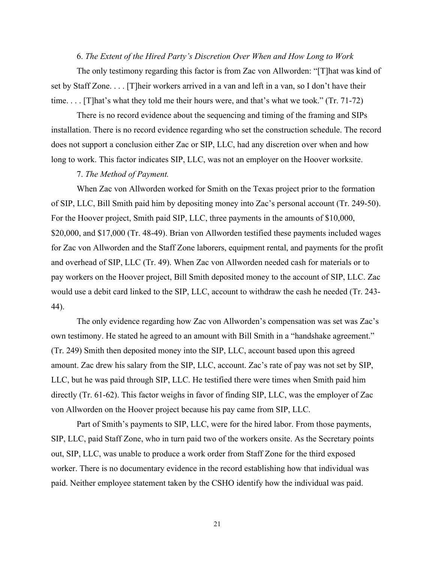# 6. *The Extent of the Hired Party's Discretion Over When and How Long to Work*

 The only testimony regarding this factor is from Zac von Allworden: "[T]hat was kind of set by Staff Zone. . . . [T]heir workers arrived in a van and left in a van, so I don't have their time. . . . [T]hat's what they told me their hours were, and that's what we took." (Tr. 71-72)

 There is no record evidence about the sequencing and timing of the framing and SIPs installation. There is no record evidence regarding who set the construction schedule. The record does not support a conclusion either Zac or SIP, LLC, had any discretion over when and how long to work. This factor indicates SIP, LLC, was not an employer on the Hoover worksite.

## 7. *The Method of Payment.*

 When Zac von Allworden worked for Smith on the Texas project prior to the formation of SIP, LLC, Bill Smith paid him by depositing money into Zac's personal account (Tr. 249-50). For the Hoover project, Smith paid SIP, LLC, three payments in the amounts of \$10,000, \$20,000, and \$17,000 (Tr. 48-49). Brian von Allworden testified these payments included wages for Zac von Allworden and the Staff Zone laborers, equipment rental, and payments for the profit and overhead of SIP, LLC (Tr. 49). When Zac von Allworden needed cash for materials or to pay workers on the Hoover project, Bill Smith deposited money to the account of SIP, LLC. Zac would use a debit card linked to the SIP, LLC, account to withdraw the cash he needed (Tr. 243- 44).

 The only evidence regarding how Zac von Allworden's compensation was set was Zac's own testimony. He stated he agreed to an amount with Bill Smith in a "handshake agreement." (Tr. 249) Smith then deposited money into the SIP, LLC, account based upon this agreed amount. Zac drew his salary from the SIP, LLC, account. Zac's rate of pay was not set by SIP, LLC, but he was paid through SIP, LLC. He testified there were times when Smith paid him directly (Tr. 61-62). This factor weighs in favor of finding SIP, LLC, was the employer of Zac von Allworden on the Hoover project because his pay came from SIP, LLC.

 Part of Smith's payments to SIP, LLC, were for the hired labor. From those payments, SIP, LLC, paid Staff Zone, who in turn paid two of the workers onsite. As the Secretary points out, SIP, LLC, was unable to produce a work order from Staff Zone for the third exposed worker. There is no documentary evidence in the record establishing how that individual was paid. Neither employee statement taken by the CSHO identify how the individual was paid.

21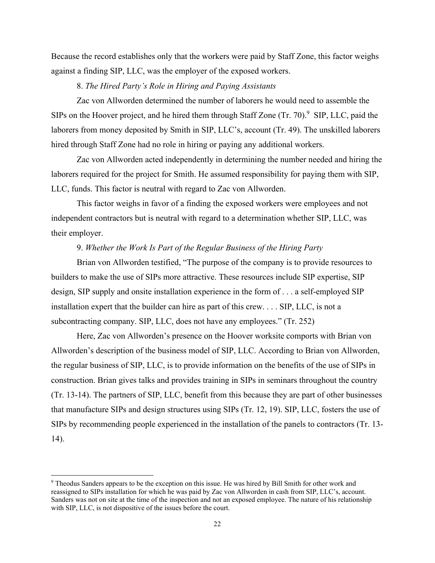Because the record establishes only that the workers were paid by Staff Zone, this factor weighs against a finding SIP, LLC, was the employer of the exposed workers.

8. *The Hired Party's Role in Hiring and Paying Assistants* 

 Zac von Allworden determined the number of laborers he would need to assemble the SIPs on the Hoover project, and he hired them through Staff Zone  $(Tr. 70)$ .<sup>9</sup> SIP, LLC, paid the laborers from money deposited by Smith in SIP, LLC's, account (Tr. 49). The unskilled laborers hired through Staff Zone had no role in hiring or paying any additional workers.

 Zac von Allworden acted independently in determining the number needed and hiring the laborers required for the project for Smith. He assumed responsibility for paying them with SIP, LLC, funds. This factor is neutral with regard to Zac von Allworden.

This factor weighs in favor of a finding the exposed workers were employees and not independent contractors but is neutral with regard to a determination whether SIP, LLC, was their employer.

# 9. *Whether the Work Is Part of the Regular Business of the Hiring Party*

Brian von Allworden testified, "The purpose of the company is to provide resources to builders to make the use of SIPs more attractive. These resources include SIP expertise, SIP design, SIP supply and onsite installation experience in the form of . . . a self-employed SIP installation expert that the builder can hire as part of this crew. . . . SIP, LLC, is not a subcontracting company. SIP, LLC, does not have any employees." (Tr. 252)

 Here, Zac von Allworden's presence on the Hoover worksite comports with Brian von Allworden's description of the business model of SIP, LLC. According to Brian von Allworden, the regular business of SIP, LLC, is to provide information on the benefits of the use of SIPs in construction. Brian gives talks and provides training in SIPs in seminars throughout the country (Tr. 13-14). The partners of SIP, LLC, benefit from this because they are part of other businesses that manufacture SIPs and design structures using SIPs (Tr. 12, 19). SIP, LLC, fosters the use of SIPs by recommending people experienced in the installation of the panels to contractors (Tr. 13-  $(14)$ .

<sup>9</sup> Theodus Sanders appears to be the exception on this issue. He was hired by Bill Smith for other work and reassigned to SIPs installation for which he was paid by Zac von Allworden in cash from SIP, LLC's, account. Sanders was not on site at the time of the inspection and not an exposed employee. The nature of his relationship with SIP, LLC, is not dispositive of the issues before the court.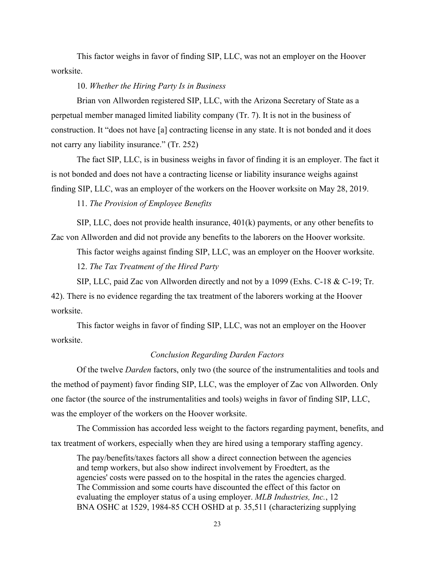This factor weighs in favor of finding SIP, LLC, was not an employer on the Hoover worksite.

### 10. *Whether the Hiring Party Is in Business*

 Brian von Allworden registered SIP, LLC, with the Arizona Secretary of State as a perpetual member managed limited liability company (Tr. 7). It is not in the business of construction. It "does not have [a] contracting license in any state. It is not bonded and it does not carry any liability insurance." (Tr. 252)

 The fact SIP, LLC, is in business weighs in favor of finding it is an employer. The fact it is not bonded and does not have a contracting license or liability insurance weighs against finding SIP, LLC, was an employer of the workers on the Hoover worksite on May 28, 2019.

11. *The Provision of Employee Benefits* 

 SIP, LLC, does not provide health insurance, 401(k) payments, or any other benefits to Zac von Allworden and did not provide any benefits to the laborers on the Hoover worksite.

 This factor weighs against finding SIP, LLC, was an employer on the Hoover worksite. 12. *The Tax Treatment of the Hired Party* 

 SIP, LLC, paid Zac von Allworden directly and not by a 1099 (Exhs. C-18 & C-19; Tr. 42). There is no evidence regarding the tax treatment of the laborers working at the Hoover worksite.

 This factor weighs in favor of finding SIP, LLC, was not an employer on the Hoover worksite.

### *Conclusion Regarding Darden Factors*

 Of the twelve *Darden* factors, only two (the source of the instrumentalities and tools and the method of payment) favor finding SIP, LLC, was the employer of Zac von Allworden. Only one factor (the source of the instrumentalities and tools) weighs in favor of finding SIP, LLC, was the employer of the workers on the Hoover worksite.

 The Commission has accorded less weight to the factors regarding payment, benefits, and tax treatment of workers, especially when they are hired using a temporary staffing agency.

The pay/benefits/taxes factors all show a direct connection between the agencies and temp workers, but also show indirect involvement by Froedtert, as the agencies' costs were passed on to the hospital in the rates the agencies charged. The Commission and some courts have discounted the effect of this factor on evaluating the employer status of a using employer. *MLB Industries, Inc.*, 12 BNA OSHC at 1529, 1984-85 CCH OSHD at p. 35,511 (characterizing supplying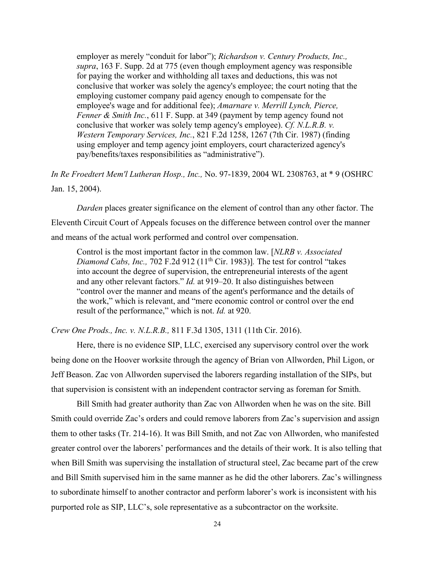employer as merely "conduit for labor"); *Richardson v. Century Products, Inc., supra*, 163 F. Supp. 2d at 775 (even though employment agency was responsible for paying the worker and withholding all taxes and deductions, this was not conclusive that worker was solely the agency's employee; the court noting that the employing customer company paid agency enough to compensate for the employee's wage and for additional fee); *Amarnare v. Merrill Lynch, Pierce, Fenner & Smith Inc.*, 611 F. Supp. at 349 (payment by temp agency found not conclusive that worker was solely temp agency's employee). *Cf. N.L.R.B. v. Western Temporary Services, Inc.*, 821 F.2d 1258, 1267 (7th Cir. 1987) (finding using employer and temp agency joint employers, court characterized agency's pay/benefits/taxes responsibilities as "administrative").

*In Re Froedtert Mem'l Lutheran Hosp., Inc.,* No. 97-1839, 2004 WL 2308763, at \* 9 (OSHRC Jan. 15, 2004).

*Darden* places greater significance on the element of control than any other factor. The Eleventh Circuit Court of Appeals focuses on the difference between control over the manner and means of the actual work performed and control over compensation.

Control is the most important factor in the common law. [*NLRB v. Associated Diamond Cabs, Inc.,* 702 F.2d 912 (11th Cir. 1983)]*.* The test for control "takes into account the degree of supervision, the entrepreneurial interests of the agent and any other relevant factors." *Id.* at 919–20. It also distinguishes between "control over the manner and means of the agent's performance and the details of the work," which is relevant, and "mere economic control or control over the end result of the performance," which is not. *Id.* at 920.

*Crew One Prods., Inc. v. N.L.R.B.,* 811 F.3d 1305, 1311 (11th Cir. 2016).

 Here, there is no evidence SIP, LLC, exercised any supervisory control over the work being done on the Hoover worksite through the agency of Brian von Allworden, Phil Ligon, or Jeff Beason. Zac von Allworden supervised the laborers regarding installation of the SIPs, but that supervision is consistent with an independent contractor serving as foreman for Smith.

 Bill Smith had greater authority than Zac von Allworden when he was on the site. Bill Smith could override Zac's orders and could remove laborers from Zac's supervision and assign them to other tasks (Tr. 214-16). It was Bill Smith, and not Zac von Allworden, who manifested greater control over the laborers' performances and the details of their work. It is also telling that when Bill Smith was supervising the installation of structural steel, Zac became part of the crew and Bill Smith supervised him in the same manner as he did the other laborers. Zac's willingness to subordinate himself to another contractor and perform laborer's work is inconsistent with his purported role as SIP, LLC's, sole representative as a subcontractor on the worksite.